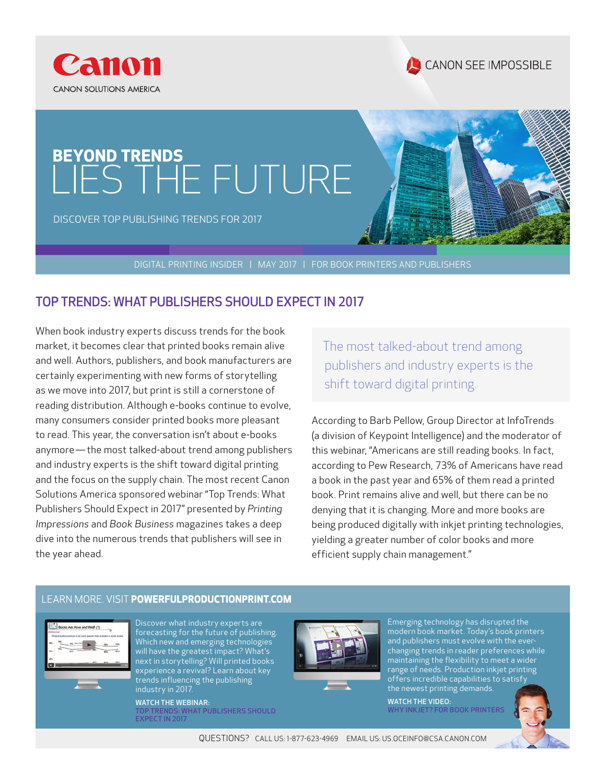



# BEYOND TRENDS<br>LIES THE FUTURE

DISCOVER TOP PUBLISHING TRENDS FOR 2017

DIGITAL PRINTING INSIDER | MAY 2017 | FOR BOOK PRINTERS AND PUBLISHERS

### TOP TRENDS: WHAT PUBLISHERS SHOULD EXPECT IN 2017

When book industry experts discuss trends for the book market, it becomes clear that printed books remain alive and well. Authors, publishers, and book manufacturers are certainly experimenting with new forms of storytelling as we move into 2017, but print is still a cornerstone of reading distribution. Although e-books continue to evolve, many consumers consider printed books more pleasant to read. This year, the conversation isn't about e-books anymore — the most talked-about trend among publishers and industry experts is the shift toward digital printing and the focus on the supply chain. The most recent Canon Solutions America sponsored webinar "Top Trends: What Publishers Should Expect in 2017" presented by *Printing Impressions* and *Book Business* magazines takes a deep dive into the numerous trends that publishers will see in the year ahead.

The most talked-about trend among publishers and industry experts is the shift toward digital printing.

According to Barb Pellow, Group Director at InfoTrends (a division of Keypoint Intelligence) and the moderator of this webinar, "Americans are still reading books. In fact, according to Pew Research, 73% of Americans have read a book in the past year and 65% of them read a printed book. Print remains alive and well, but there can be no denying that it is changing. More and more books are being produced digitally with inkjet printing technologies, yielding a greater number of color books and more efficient supply chain management."

### LEARN MORE. VISIT POWERFULPRODUCTIONPRINT.COM



Discover what industry experts are forecasting for the future of publishing. Which new and emerging technologies will have the greatest impact? What's next in storytelling? Will printed books experience a revival? Learn about key trends influencing the publishing industry in 2017.

WATCH THE WEBINAR: TOP TRENDS: WHAT PUBLISHERS SHOULD EXPECT IN 2017



Emerging technology has disrupted the modern book market. Today's book printers and publishers must evolve with the everchanging trends in reader preferences while maintaining the flexibility to meet a wider range of needs. Production inkjet printing offers incredible capabilities to satisfy the newest printing demands.

WATCH THE VIDEO: WHY INKJET? FOR BOOK PRINTERS



QUESTIONS? CALL US: 1-877-623-4969 EMAIL US: US.OCEINFO@CSA.CANON.COM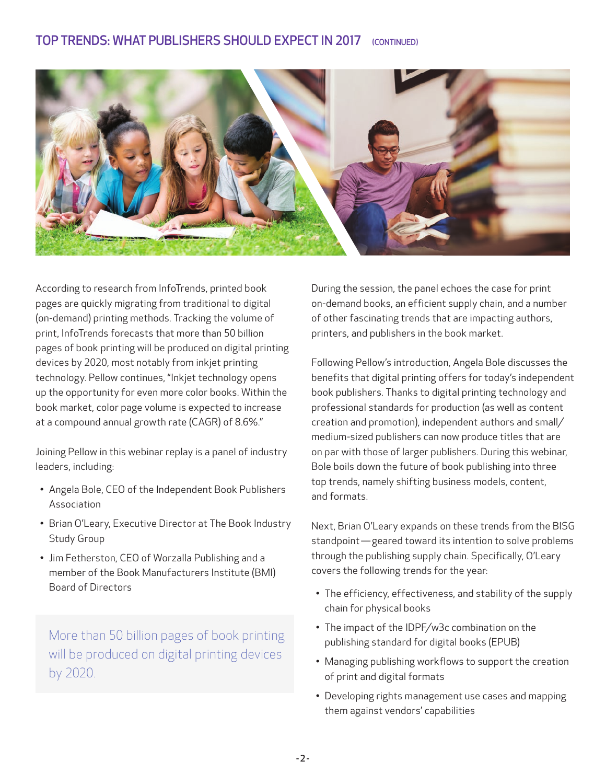

According to research from InfoTrends, printed book pages are quickly migrating from traditional to digital (on-demand) printing methods. Tracking the volume of print, InfoTrends forecasts that more than 50 billion pages of book printing will be produced on digital printing devices by 2020, most notably from inkjet printing technology. Pellow continues, "Inkjet technology opens up the opportunity for even more color books. Within the book market, color page volume is expected to increase at a compound annual growth rate (CAGR) of 8.6%."

Joining Pellow in this webinar replay is a panel of industry leaders, including:

- Angela Bole, CEO of the Independent Book Publishers Association
- Brian O'Leary, Executive Director at The Book Industry Study Group
- Jim Fetherston, CEO of Worzalla Publishing and a member of the Book Manufacturers Institute (BMI) Board of Directors

More than 50 billion pages of book printing will be produced on digital printing devices by 2020.

During the session, the panel echoes the case for print on-demand books, an efficient supply chain, and a number of other fascinating trends that are impacting authors, printers, and publishers in the book market.

Following Pellow's introduction, Angela Bole discusses the benefits that digital printing offers for today's independent book publishers. Thanks to digital printing technology and professional standards for production (as well as content creation and promotion), independent authors and small/ medium-sized publishers can now produce titles that are on par with those of larger publishers. During this webinar, Bole boils down the future of book publishing into three top trends, namely shifting business models, content, and formats.

Next, Brian O'Leary expands on these trends from the BISG standpoint - geared toward its intention to solve problems through the publishing supply chain. Specifically, O'Leary covers the following trends for the year:

- The efficiency, effectiveness, and stability of the supply chain for physical books
- The impact of the IDPF/w3c combination on the publishing standard for digital books (EPUB)
- Managing publishing workflows to support the creation of print and digital formats
- Developing rights management use cases and mapping them against vendors' capabilities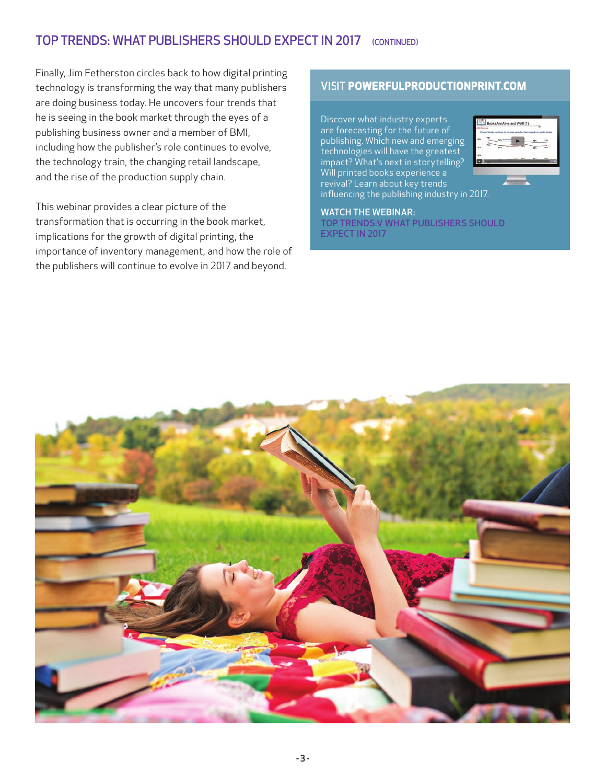### TOP TRENDS: WHAT PUBLISHERS SHOULD EXPECT IN 2017 (CONTINUED)

Finally, Jim Fetherston circles back to how digital printing technology is transforming the way that many publishers are doing business today. He uncovers four trends that he is seeing in the book market through the eyes of a publishing business owner and a member of BMI, including how the publisher's role continues to evolve, the technology train, the changing retail landscape, and the rise of the production supply chain.

This webinar provides a clear picture of the transformation that is occurring in the book market, implications for the growth of digital printing, the importance of inventory management, and how the role of the publishers will continue to evolve in 2017 and beyond.

### VISIT POWERFULPRODUCTIONPRINT.COM

Discover what industry experts are forecasting for the future of publishing. Which new and emerging technologies will have the greatest impact? What's next in storytelling? Will printed books experience a revival? Learn about key trends influencing the publishing industry in 2017.



### WATCH THE WEBINAR:

TOP TRENDS:V WHAT PUBLISHERS SHOULD EXPECT IN 2017